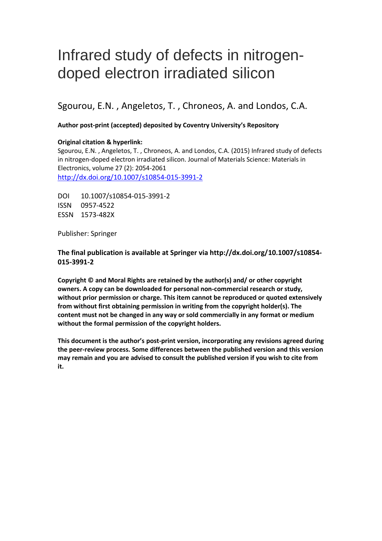# Infrared study of defects in nitrogendoped electron irradiated silicon

Sgourou, E.N. , Angeletos, T. , Chroneos, A. and Londos, C.A.

#### **Author post-print (accepted) deposited by Coventry University's Repository**

#### **Original citation & hyperlink:**

Sgourou, E.N. , Angeletos, T. , Chroneos, A. and Londos, C.A. (2015) Infrared study of defects in nitrogen-doped electron irradiated silicon. Journal of Materials Science: Materials in Electronics, volume 27 (2): 2054-2061 <http://dx.doi.org/10.1007/s10854-015-3991-2>

DOI 10.1007/s10854-015-3991-2 ISSN 0957-4522 ESSN 1573-482X

Publisher: Springer

**The final publication is available at Springer via http://dx.doi.org/10.1007/s10854- 015-3991-2**

**Copyright © and Moral Rights are retained by the author(s) and/ or other copyright owners. A copy can be downloaded for personal non-commercial research or study, without prior permission or charge. This item cannot be reproduced or quoted extensively from without first obtaining permission in writing from the copyright holder(s). The content must not be changed in any way or sold commercially in any format or medium without the formal permission of the copyright holders.** 

**This document is the author's post-print version, incorporating any revisions agreed during the peer-review process. Some differences between the published version and this version may remain and you are advised to consult the published version if you wish to cite from it.**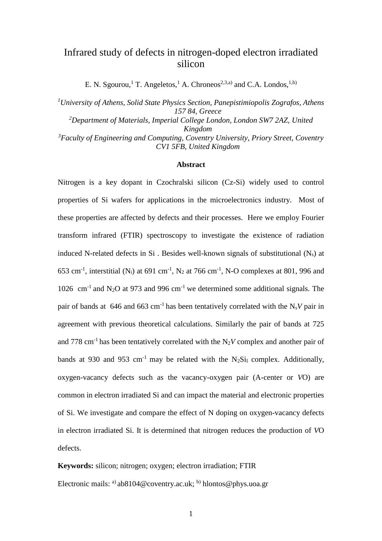# Infrared study of defects in nitrogen-doped electron irradiated silicon

E. N. Sgourou,<sup>1</sup> T. Angeletos,<sup>1</sup> A. Chroneos<sup>2,3,a)</sup> and C.A. Londos,<sup>1,b)</sup>

*<sup>1</sup>University of Athens, Solid State Physics Section, Panepistimiopolis Zografos, Athens 157 84, Greece <sup>2</sup>Department of Materials, Imperial College London, London SW7 2AZ, United Kingdom <sup>3</sup>Faculty of Engineering and Computing, Coventry University, Priory Street, Coventry CV1 5FB, United Kingdom*

#### **Abstract**

Nitrogen is a key dopant in Czochralski silicon (Cz-Si) widely used to control properties of Si wafers for applications in the microelectronics industry. Most of these properties are affected by defects and their processes. Here we employ Fourier transform infrared (FTIR) spectroscopy to investigate the existence of radiation induced N-related defects in Si. Besides well-known signals of substitutional  $(N_s)$  at 653 cm<sup>-1</sup>, interstitial (N<sub>i</sub>) at 691 cm<sup>-1</sup>, N<sub>2</sub> at 766 cm<sup>-1</sup>, N-O complexes at 801, 996 and 1026 cm<sup>-1</sup> and N<sub>2</sub>O at 973 and 996 cm<sup>-1</sup> we determined some additional signals. The pair of bands at  $646$  and  $663$  cm<sup>-1</sup> has been tentatively correlated with the N<sub>s</sub>V pair in agreement with previous theoretical calculations. Similarly the pair of bands at 725 and 778 cm<sup>-1</sup> has been tentatively correlated with the  $N_2V$  complex and another pair of bands at 930 and 953 cm<sup>-1</sup> may be related with the  $N_2Si<sub>I</sub>$  complex. Additionally, oxygen-vacancy defects such as the vacancy-oxygen pair (A-center or *V*O) are common in electron irradiated Si and can impact the material and electronic properties of Si. We investigate and compare the effect of N doping on oxygen-vacancy defects in electron irradiated Si. It is determined that nitrogen reduces the production of *V*O defects.

**Keywords:** silicon; nitrogen; oxygen; electron irradiation; FTIR Electronic mails: <sup>a)</sup> [ab8104@coventry.ac.uk;](mailto:ab8104@coventry.ac.uk) <sup>b)</sup> [hlontos@phys.uoa.gr](mailto:hlontos@phys.uoa.gr)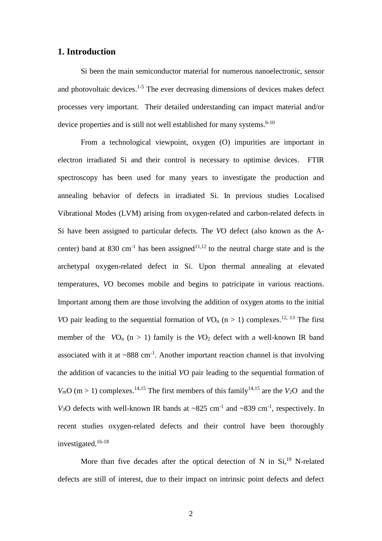## **1. Introduction**

Si been the main semiconductor material for numerous nanoelectronic, sensor and photovoltaic devices. 1-5 The ever decreasing dimensions of devices makes defect processes very important. Their detailed understanding can impact material and/or device properties and is still not well established for many systems.<sup>6-10</sup>

From a technological viewpoint, oxygen (O) impurities are important in electron irradiated Si and their control is necessary to optimise devices. FTIR spectroscopy has been used for many years to investigate the production and annealing behavior of defects in irradiated Si. In previous studies Localised Vibrational Modes (LVM) arising from oxygen-related and carbon-related defects in Si have been assigned to particular defects. The *V*O defect (also known as the Acenter) band at 830 cm<sup>-1</sup> has been assigned<sup>11,12</sup> to the neutral charge state and is the archetypal oxygen-related defect in Si. Upon thermal annealing at elevated temperatures, *V*O becomes mobile and begins to patricipate in various reactions. Important among them are those involving the addition of oxygen atoms to the initial *VO* pair leading to the sequential formation of  $VO_n$  (n > 1) complexes.<sup>12, 13</sup> The first member of the  $VO_n$  (n > 1) family is the  $VO_2$  defect with a well-known IR band associated with it at  $\sim 888$  cm<sup>-1</sup>. Another important reaction channel is that involving the addition of vacancies to the initial *V*O pair leading to the sequential formation of  $V_{\text{m}}O$  (m > 1) complexes.<sup>14,15</sup> The first members of this family<sup>14,15</sup> are the *V*<sub>2</sub>O and the  $V_3$ O defects with well-known IR bands at ~825 cm<sup>-1</sup> and ~839 cm<sup>-1</sup>, respectively. In recent studies oxygen-related defects and their control have been thoroughly investigated.16-18

More than five decades after the optical detection of N in  $Si$ ,<sup>19</sup> N-related defects are still of interest, due to their impact on intrinsic point defects and defect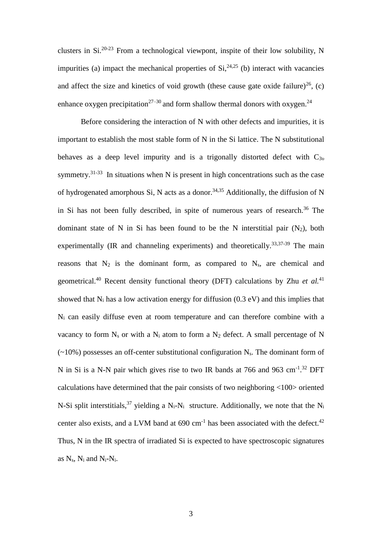clusters in  $Si^{20-23}$  From a technological viewpont, inspite of their low solubility, N impurities (a) impact the mechanical properties of  $Si^{24,25}$  (b) interact with vacancies and affect the size and kinetics of void growth (these cause gate oxide failure)<sup>26</sup>, (c) enhance oxygen precipitation<sup>27–30</sup> and form shallow thermal donors with oxygen.<sup>24</sup>

Before considering the interaction of N with other defects and impurities, it is important to establish the most stable form of N in the Si lattice. The N substitutional behaves as a deep level impurity and is a trigonally distorted defect with  $C_{3\nu}$ symmetry.<sup>31-33</sup> In situations when N is present in high concentrations such as the case of hydrogenated amorphous Si, N acts as a donor.<sup>34,35</sup> Additionally, the diffusion of N in Si has not been fully described, in spite of numerous years of research. <sup>36</sup> The dominant state of N in Si has been found to be the N interstitial pair  $(N_2)$ , both experimentally (IR and channeling experiments) and theoretically.<sup>33,37-39</sup> The main reasons that  $N_2$  is the dominant form, as compared to  $N_s$ , are chemical and geometrical. <sup>40</sup> Recent density functional theory (DFT) calculations by Zhu *et al.*<sup>41</sup> showed that  $N_i$  has a low activation energy for diffusion (0.3 eV) and this implies that N<sup>i</sup> can easily diffuse even at room temperature and can therefore combine with a vacancy to form  $N_s$  or with a  $N_i$  atom to form a  $N_2$  defect. A small percentage of N  $(\sim 10\%)$  possesses an off-center substitutional configuration N<sub>s</sub>. The dominant form of N in Si is a N-N pair which gives rise to two IR bands at 766 and 963 cm<sup>-1</sup>.<sup>32</sup> DFT calculations have determined that the pair consists of two neighboring <100> oriented N-Si split interstitials,<sup>37</sup> yielding a N<sub>i</sub>-N<sub>i</sub> structure. Additionally, we note that the N<sub>i</sub> center also exists, and a LVM band at  $690 \text{ cm}^{-1}$  has been associated with the defect.<sup>42</sup> Thus, N in the IR spectra of irradiated Si is expected to have spectroscopic signatures as  $N_s$ ,  $N_i$  and  $N_i$ - $N_i$ .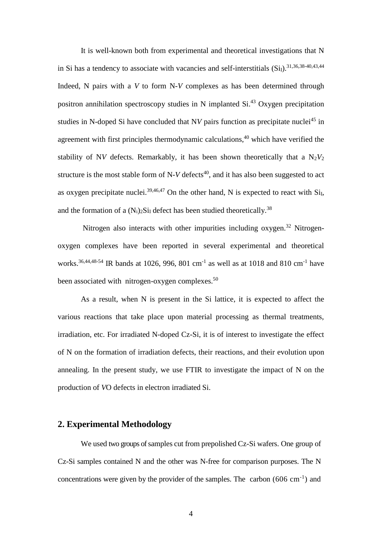It is well-known both from experimental and theoretical investigations that N in Si has a tendency to associate with vacancies and self-interstitials  $(Si<sub>I</sub>)$ .  $^{31,36,38-40,43,44}$ Indeed, N pairs with a *V* to form N-*V* complexes as has been determined through positron annihilation spectroscopy studies in N implanted Si.<sup>43</sup> Oxygen precipitation studies in N-doped Si have concluded that NV pairs function as precipitate nuclei<sup>45</sup> in agreement with first principles thermodynamic calculations, <sup>40</sup> which have verified the stability of N*V* defects. Remarkably, it has been shown theoretically that a  $N_2V_2$ structure is the most stable form of  $N-V$  defects<sup>40</sup>, and it has also been suggested to act as oxygen precipitate nuclei.<sup>39,46,47</sup> On the other hand, N is expected to react with  $Si<sub>I</sub>$ , and the formation of a  $(N_i)_2Si$  defect has been studied theoretically.<sup>38</sup>

Nitrogen also interacts with other impurities including oxygen.<sup>32</sup> Nitrogenoxygen complexes have been reported in several experimental and theoretical works.<sup>36,44,48-54</sup> IR bands at 1026, 996, 801 cm<sup>-1</sup> as well as at 1018 and 810 cm<sup>-1</sup> have been associated with nitrogen-oxygen complexes.<sup>50</sup>

As a result, when N is present in the Si lattice, it is expected to affect the various reactions that take place upon material processing as thermal treatments, irradiation, etc. For irradiated N-doped Cz-Si, it is of interest to investigate the effect of N on the formation of irradiation defects, their reactions, and their evolution upon annealing. In the present study, we use FTIR to investigate the impact of N on the production of *V*O defects in electron irradiated Si.

### **2. Experimental Methodology**

We used two groups of samples cut from prepolished Cz-Si wafers. One group of Cz-Si samples contained N and the other was N-free for comparison purposes. The N concentrations were given by the provider of the samples. The carbon  $(606 \text{ cm}^{-1})$  and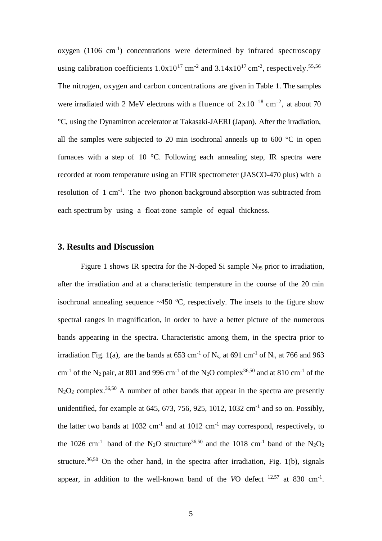oxygen (1106 cm<sup>-1</sup>) concentrations were determined by infrared spectroscopy using calibration coefficients  $1.0x10^{17}$  cm<sup>-2</sup> and  $3.14x10^{17}$  cm<sup>-2</sup>, respectively.<sup>55,56</sup> The nitrogen, oxygen and carbon concentrations are given in Table 1. The samples were irradiated with 2 MeV electrons with a fluence of  $2x10^{-18}$  cm<sup>-2</sup>, at about 70 °C, using the Dynamitron accelerator at Takasaki-JAERI (Japan). After the irradiation, all the samples were subjected to 20 min isochronal anneals up to 600 °C in open furnaces with a step of 10 °C. Following each annealing step, IR spectra were recorded at room temperature using an FTIR spectrometer (JASCO-470 plus) with a resolution of  $1 \text{ cm}^{-1}$ . The two phonon background absorption was subtracted from each spectrum by using a float-zone sample of equal thickness.

### **3. Results and Discussion**

Figure 1 shows IR spectra for the N-doped Si sample N<sub>95</sub> prior to irradiation, after the irradiation and at a characteristic temperature in the course of the 20 min isochronal annealing sequence  $\sim$ 450 °C, respectively. The insets to the figure show spectral ranges in magnification, in order to have a better picture of the numerous bands appearing in the spectra. Characteristic among them, in the spectra prior to irradiation Fig. 1(a), are the bands at  $653 \text{ cm}^{-1}$  of N<sub>s</sub>, at  $691 \text{ cm}^{-1}$  of N<sub>i</sub>, at  $766$  and  $963$ cm<sup>-1</sup> of the N<sub>2</sub> pair, at 801 and 996 cm<sup>-1</sup> of the N<sub>2</sub>O complex<sup>36,50</sup> and at 810 cm<sup>-1</sup> of the  $N_2O_2$  complex.<sup>36,50</sup> A number of other bands that appear in the spectra are presently unidentified, for example at 645, 673, 756, 925, 1012, 1032  $cm^{-1}$  and so on. Possibly, the latter two bands at 1032 cm<sup>-1</sup> and at 1012 cm<sup>-1</sup> may correspond, respectively, to the 1026 cm<sup>-1</sup> band of the N<sub>2</sub>O structure<sup>36,50</sup> and the 1018 cm<sup>-1</sup> band of the N<sub>2</sub>O<sub>2</sub> structure.<sup>36,50</sup> On the other hand, in the spectra after irradiation, Fig. 1(b), signals appear, in addition to the well-known band of the  $VO$  defect  $^{12,57}$  at 830 cm<sup>-1</sup>.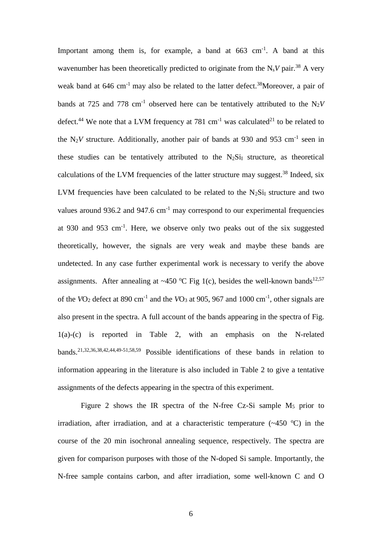Important among them is, for example, a band at  $663 \text{ cm}^{-1}$ . A band at this wavenumber has been theoretically predicted to originate from the  $N_sV$  pair.<sup>38</sup> A very weak band at 646 cm<sup>-1</sup> may also be related to the latter defect.<sup>38</sup>Moreover, a pair of bands at 725 and 778 cm<sup>-1</sup> observed here can be tentatively attributed to the  $N_2V$ defect.<sup>44</sup> We note that a LVM frequency at 781 cm<sup>-1</sup> was calculated<sup>21</sup> to be related to the N<sub>2</sub>V structure. Additionally, another pair of bands at 930 and 953 cm<sup>-1</sup> seen in these studies can be tentatively attributed to the  $N_2Si<sub>I</sub>$  structure, as theoretical calculations of the LVM frequencies of the latter structure may suggest.<sup>38</sup> Indeed, six LVM frequencies have been calculated to be related to the  $N_2Si<sub>I</sub>$  structure and two values around 936.2 and 947.6  $cm^{-1}$  may correspond to our experimental frequencies at 930 and 953 cm<sup>-1</sup>. Here, we observe only two peaks out of the six suggested theoretically, however, the signals are very weak and maybe these bands are undetected. In any case further experimental work is necessary to verify the above assignments. After annealing at ~450 °C Fig 1(c), besides the well-known bands<sup>12,57</sup> of the  $VO_2$  defect at 890 cm<sup>-1</sup> and the  $VO_3$  at 905, 967 and 1000 cm<sup>-1</sup>, other signals are also present in the spectra. A full account of the bands appearing in the spectra of Fig. 1(a)-(c) is reported in Table 2, with an emphasis on the N-related bands.21,32,36,38,42,44,49-51,58,59 Possible identifications of these bands in relation to information appearing in the literature is also included in Table 2 to give a tentative assignments of the defects appearing in the spectra of this experiment.

Figure 2 shows the IR spectra of the N-free Cz-Si sample  $M_5$  prior to irradiation, after irradiation, and at a characteristic temperature  $(-450 \degree C)$  in the course of the 20 min isochronal annealing sequence, respectively. The spectra are given for comparison purposes with those of the N-doped Si sample. Importantly, the N-free sample contains carbon, and after irradiation, some well-known C and O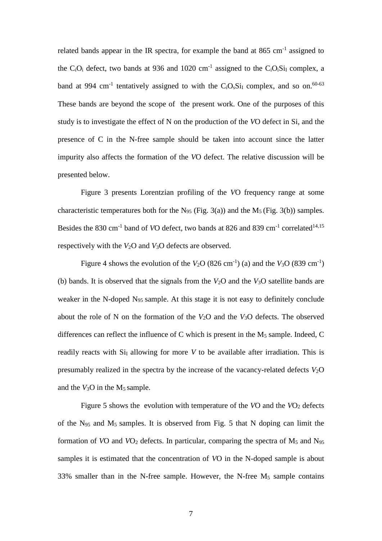related bands appear in the IR spectra, for example the band at  $865 \text{ cm}^{-1}$  assigned to the C<sub>i</sub>O<sub>i</sub> defect, two bands at 936 and 1020 cm<sup>-1</sup> assigned to the C<sub>i</sub>O<sub>i</sub>S<sub>1</sub><sub>I</sub> complex, a band at 994 cm<sup>-1</sup> tentatively assigned to with the C<sub>i</sub>O<sub>s</sub>S<sub>1</sub><sub>I</sub> complex, and so on.<sup>60-63</sup> These bands are beyond the scope of the present work. One of the purposes of this study is to investigate the effect of N on the production of the *V*O defect in Si, and the presence of C in the N-free sample should be taken into account since the latter impurity also affects the formation of the *V*O defect. The relative discussion will be presented below.

Figure 3 presents Lorentzian profiling of the *V*O frequency range at some characteristic temperatures both for the N<sub>95</sub> (Fig. 3(a)) and the M<sub>5</sub> (Fig. 3(b)) samples. Besides the 830 cm<sup>-1</sup> band of *VO* defect, two bands at 826 and 839 cm<sup>-1</sup> correlated<sup>14,15</sup> respectively with the *V*2O and *V*3O defects are observed.

Figure 4 shows the evolution of the  $V_2O(826 \text{ cm}^{-1})$  (a) and the  $V_3O(839 \text{ cm}^{-1})$ (b) bands. It is observed that the signals from the *V*2O and the *V*3O satellite bands are weaker in the N-doped N95 sample. At this stage it is not easy to definitely conclude about the role of N on the formation of the *V*2O and the *V*3O defects. The observed differences can reflect the influence of C which is present in the  $M_5$  sample. Indeed, C readily reacts with  $Si<sub>I</sub>$  allowing for more *V* to be available after irradiation. This is presumably realized in the spectra by the increase of the vacancy-related defects  $V_2O$ and the  $V_3O$  in the  $M_5$  sample.

Figure 5 shows the evolution with temperature of the *VO* and the *VO*<sub>2</sub> defects of the  $N_{95}$  and  $M_5$  samples. It is observed from Fig. 5 that N doping can limit the formation of *VO* and *VO*<sub>2</sub> defects. In particular, comparing the spectra of  $M_5$  and  $N_{95}$ samples it is estimated that the concentration of *V*O in the N-doped sample is about 33% smaller than in the N-free sample. However, the N-free  $M_5$  sample contains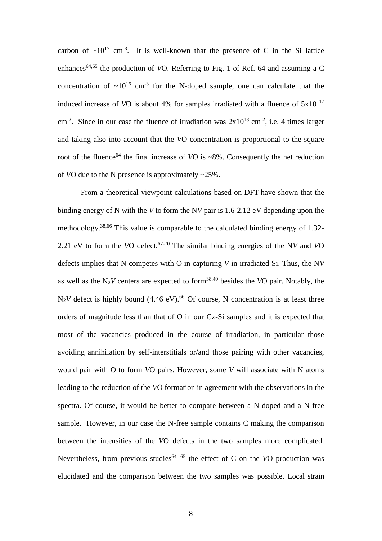carbon of  $\sim 10^{17}$  cm<sup>-3</sup>. It is well-known that the presence of C in the Si lattice enhances<sup>64,65</sup> the production of *VO*. Referring to Fig. 1 of Ref. 64 and assuming a C concentration of  $\sim 10^{16}$  cm<sup>-3</sup> for the N-doped sample, one can calculate that the induced increase of *V*O is about 4% for samples irradiated with a fluence of 5x10 <sup>17</sup> cm<sup>-2</sup>. Since in our case the fluence of irradiation was  $2x10^{18}$  cm<sup>-2</sup>, i.e. 4 times larger and taking also into account that the *V*O concentration is proportional to the square root of the fluence<sup>64</sup> the final increase of *VO* is  $\sim$ 8%. Consequently the net reduction of *V*O due to the N presence is approximately ~25%.

From a theoretical viewpoint calculations based on DFT have shown that the binding energy of N with the *V* to form the N*V* pair is 1.6-2.12 eV depending upon the methodology.38,66 This value is comparable to the calculated binding energy of 1.32- 2.21 eV to form the *V*O defect.67-70 The similar binding energies of the N*V* and *V*O defects implies that N competes with O in capturing *V* in irradiated Si. Thus, the N*V* as well as the  $N_2V$  centers are expected to form<sup>38,40</sup> besides the *VO* pair. Notably, the  $N_2V$  defect is highly bound (4.46 eV).<sup>66</sup> Of course, N concentration is at least three orders of magnitude less than that of O in our Cz-Si samples and it is expected that most of the vacancies produced in the course of irradiation, in particular those avoiding annihilation by self-interstitials or/and those pairing with other vacancies, would pair with O to form *V*O pairs. However, some *V* will associate with N atoms leading to the reduction of the *V*O formation in agreement with the observations in the spectra. Of course, it would be better to compare between a N-doped and a N-free sample. However, in our case the N-free sample contains C making the comparison between the intensities of the *V*O defects in the two samples more complicated. Nevertheless, from previous studies 64, <sup>65</sup> the effect of C on the *V*O production was elucidated and the comparison between the two samples was possible. Local strain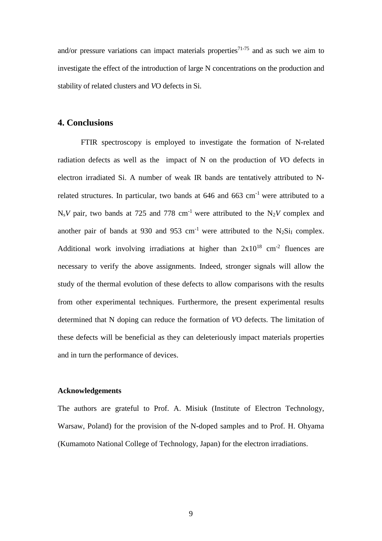and/or pressure variations can impact materials properties<sup>71-75</sup> and as such we aim to investigate the effect of the introduction of large N concentrations on the production and stability of related clusters and *V*O defects in Si.

## **4. Conclusions**

FTIR spectroscopy is employed to investigate the formation of N-related radiation defects as well as the impact of N on the production of *V*O defects in electron irradiated Si. A number of weak IR bands are tentatively attributed to Nrelated structures. In particular, two bands at  $646$  and  $663$  cm<sup>-1</sup> were attributed to a  $N_sV$  pair, two bands at 725 and 778 cm<sup>-1</sup> were attributed to the N<sub>2</sub>V complex and another pair of bands at 930 and 953 cm<sup>-1</sup> were attributed to the  $N_2Si<sub>I</sub>$  complex. Additional work involving irradiations at higher than  $2x10^{18}$  cm<sup>-2</sup> fluences are necessary to verify the above assignments. Indeed, stronger signals will allow the study of the thermal evolution of these defects to allow comparisons with the results from other experimental techniques. Furthermore, the present experimental results determined that N doping can reduce the formation of *V*O defects. The limitation of these defects will be beneficial as they can deleteriously impact materials properties and in turn the performance of devices.

#### **Acknowledgements**

The authors are grateful to Prof. A. Misiuk (Institute of Electron Technology, Warsaw, Poland) for the provision of the N-doped samples and to Prof. H. Ohyama (Kumamoto National College of Technology, Japan) for the electron irradiations.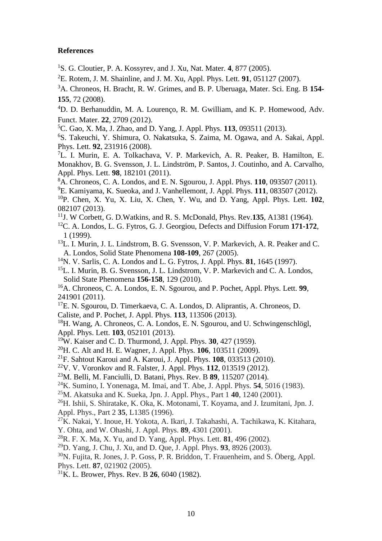#### **References**

<sup>1</sup>S. G. Cloutier, P. A. Kossyrev, and J. Xu, Nat. Mater. **4**, 877 (2005).

<sup>2</sup>E. Rotem, J. M. Shainline, and J. M. Xu, Appl. Phys. Lett. **91**, 051127 (2007).

<sup>3</sup>A. Chroneos, H. Bracht, R. W. Grimes, and B. P. Uberuaga, Mater. Sci. Eng. B **154- 155**, 72 (2008).

<sup>4</sup>D. D. Berhanuddin, M. A. Lourenco, R. M. Gwilliam, and K. P. Homewood, Adv. Funct. Mater. **22**, 2709 (2012).

<sup>5</sup>C. Gao, X. Ma, J. Zhao, and D. Yang, J. Appl. Phys. **113**, 093511 (2013).

<sup>6</sup>S. Takeuchi, Y. Shimura, O. Nakatsuka, S. Zaima, M. Ogawa, and A. Sakai, Appl. Phys. Lett. **92**, 231916 (2008).

<sup>7</sup>L. I. Murin, E. A. Tolkachava, V. P. Markevich, A. R. Peaker, B. Hamilton, E. Monakhov, B. G. Svensson, J. L. Lindström, P. Santos, J. Coutinho, and A. Carvalho, Appl. Phys. Lett. **98**, 182101 (2011).

<sup>8</sup>A. Chroneos, C. A. Londos, and E. N. Sgourou, J. Appl. Phys. **110**, 093507 (2011).

<sup>9</sup>E. Kamiyama, K. Sueoka, and J. Vanhellemont, J. Appl. Phys. **111**, 083507 (2012).

<sup>10</sup>P. Chen, X. Yu, X. Liu, X. Chen, Y. Wu, and D. Yang, Appl. Phys. Lett. **102**, 082107 (2013).

- 11 J. W Corbett, G. D.Watkins, and R. S. McDonald, Phys. Rev.**135**, A1381 (1964).
- <sup>12</sup>C. A. Londos, L. G. Fytros, G. J. Georgiou, Defects and Diffusion Forum **171-172**, 1 (1999).
- <sup>13</sup>L. I. Murin, J. L. Lindstrom, B. G. Svensson, V. P. Markevich, A. R. Peaker and C. A. Londos, Solid State Phenomena **108-109**, 267 (2005).
- <sup>14</sup>N. V. Sarlis, C. A. Londos and L. G. Fytros, J. Appl. Phys. **81**, 1645 (1997).
- <sup>15</sup>L. I. Murin, B. G. Svensson, J. L. Lindstrom, V. P. Markevich and C. A. Londos, Solid State Phenomena **156-158**, 129 (2010).
- <sup>16</sup>A. Chroneos, C. A. Londos, E. N. Sgourou, and P. Pochet, Appl. Phys. Lett. **99**, 241901 (2011).

<sup>17</sup>E. N. Sgourou, D. Timerkaeva, C. A. Londos, D. Aliprantis, A. Chroneos, D.

Caliste, and P. Pochet, J. Appl. Phys. **113**, 113506 (2013).

<sup>18</sup>H. Wang, A. Chroneos, C. A. Londos, E. N. Sgourou, and U. Schwingenschlögl, Appl. Phys. Lett. **103**, 052101 (2013).

<sup>19</sup>W. Kaiser and C. D. Thurmond, J. Appl. Phys. **30**, 427 (1959).

<sup>20</sup>H. C. Alt and H. E. Wagner, J. Appl. Phys. **106**, 103511 (2009).

- <sup>21</sup>F. Sahtout Karoui and A. Karoui, J. Appl. Phys. **108**, 033513 (2010).
- <sup>22</sup>V. V. Voronkov and R. Falster, J. Appl. Phys. **112**, 013519 (2012).
- <sup>23</sup>M. Belli, M. Fanciulli, D. Batani, Phys. Rev. B **89**, 115207 (2014).
- <sup>24</sup>K. Sumino, I. Yonenaga, M. Imai, and T. Abe, J. Appl. Phys. **54**, 5016 (1983).
- <sup>25</sup>M. Akatsuka and K. Sueka, Jpn. J. Appl. Phys., Part 1 **40**, 1240 (2001).

<sup>26</sup>H. Ishii, S. Shiratake, K. Oka, K. Motonami, T. Koyama, and J. Izumitani, Jpn. J. Appl. Phys., Part 2 **35**, L1385 (1996).

 $27K$ . Nakai, Y. Inoue, H. Yokota, A. Ikari, J. Takahashi, A. Tachikawa, K. Kitahara, Y. Ohta, and W. Ohashi, J. Appl. Phys. **89**, 4301 (2001).

<sup>28</sup>R. F. X. Ma, X. Yu, and D. Yang, Appl. Phys. Lett. **81**, 496 (2002).

<sup>29</sup>D. Yang, J. Chu, J. Xu, and D. Que, J. Appl. Phys. **93**, 8926 (2003).

<sup>30</sup>N. Fujita, R. Jones, J. P. Goss, P. R. Briddon, T. Frauenheim. and S. Öberg. Appl. Phys. Lett. **87**, 021902 (2005).

<sup>31</sup>K. L. Brower, Phys. Rev. B **26**, 6040 (1982).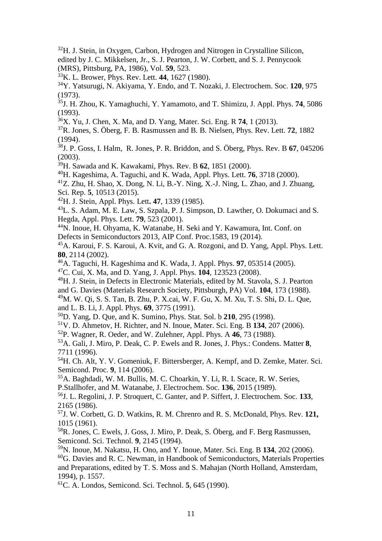$32$ H. J. Stein, in Oxygen, Carbon, Hydrogen and Nitrogen in Crystalline Silicon, edited by J. C. Mikkelsen, Jr., S. J. Pearton, J. W. Corbett, and S. J. Pennycook (MRS), Pittsburg, PA, 1986), Vol. **59**, 523.

<sup>33</sup>K. L. Brower, Phys. Rev. Lett. **44**, 1627 (1980).

<sup>34</sup>Y. Yatsurugi, N. Akiyama, Y. Endo, and T. Nozaki, J. Electrochem. Soc. **120**, 975 (1973).

35 J. H. Zhou, K. Yamaghuchi, Y. Yamamoto, and T. Shimizu, J. Appl. Phys. **74**, 5086 (1993).

<sup>36</sup>X. Yu, J. Chen, X. Ma, and D. Yang, Mater. Sci. Eng. R **74**, 1 (2013).

<sup>37</sup>R. Jones, S. Öberg, F. B. Rasmussen and B. B. Nielsen, Phys. Rev. Lett. **72**, 1882 (1994).

38 J. P. Goss, I. Halm, R. Jones, P. R. Briddon, and S. Öberg, Phys. Rev. B **67**, 045206 (2003).

<sup>39</sup>H. Sawada and K. Kawakami, Phys. Rev. B **62**, 1851 (2000).

<sup>40</sup>H. Kageshima, A. Taguchi, and K. Wada, Appl. Phys. Lett. **76**, 3718 (2000).

 $^{41}Z$ . Zhu, H. Shao, X. Dong, N. Li, B.-Y. Ning, X.-J. Ning, L. Zhao, and J. Zhuang,

Sci. Rep. **5**, 10513 (2015).

<sup>42</sup>H. J. Stein, Appl. Phys. Lett**. 47**, 1339 (1985).

<sup>43</sup>L. S. Adam, M. E. Law, S. Szpala, P. J. Simpson, D. Lawther, O. Dokumaci and S. Hegda, Appl. Phys. Lett. **79**, 523 (2001).

<sup>44</sup>N. Inoue, H. Ohyama, K. Watanabe, H. Seki and Y. Kawamura, Int. Conf. on Defects in Semiconductors 2013, AIP Conf. Proc.1583, 19 (2014).

<sup>45</sup>A. Karoui, F. S. Karoui, A. Kvit, and G. A. Rozgoni, and D. Yang, Appl. Phys. Lett. **80**, 2114 (2002).

<sup>46</sup>A. Taguchi, H. Kageshima and K. Wada, J. Appl. Phys. **97**, 053514 (2005).

<sup>47</sup>C. Cui, X. Ma, and D. Yang, J. Appl. Phys. **104**, 123523 (2008).

<sup>48</sup>H. J. Stein, in Defects in Electronic Materials, edited by M. Stavola, S. J. Pearton

and G. Davies (Materials Research Society, Pittsburgh, PA) Vol. **104**, 173 (1988).

<sup>49</sup>M. W. Qi, S. S. Tan, B. Zhu, P. X.cai, W. F. Gu, X. M. Xu, T. S. Shi, D. L. Que, and L. B. Li, J. Appl. Phys. **69**, 3775 (1991).

<sup>50</sup>D. Yang, D. Que, and K. Sumino, Phys. Stat. Sol. b **210**, 295 (1998).

<sup>51</sup>V. D. Ahmetov, H. Richter, and N. Inoue, Mater. Sci. Eng. B **134**, 207 (2006).

<sup>52</sup>P. Wagner, R. Oeder, and W. Zulehner, Appl. Phys. A **46**, 73 (1988).

<sup>53</sup>A. Gali, J. Miro, P. Deak, C. P. Ewels and R. Jones, J. Phys.: Condens. Matter **8**, 7711 (1996).

<sup>54</sup>H. Ch. Alt, Y. V. Gomeniuk, F. Bittersberger, A. Kempf, and D. Zemke, Mater. Sci. Semicond. Proc. **9**, 114 (2006).

<sup>55</sup>A. Baghdadi, W. M. Bullis, M. C. Choarkin, Y. Li, R. I. Scace, R. W. Series, P.Stallhofer, and M. Watanabe, J. Electrochem. Soc. **136**, 2015 (1989).

<sup>56</sup>J. L. Regolini, J. P. Stroquert, C. Ganter, and P. Siffert, J. Electrochem. Soc. **133**, 2165 (1986).

57 J. W. Corbett, G. D. Watkins, R. M. Chrenro and R. S. McDonald, Phys. Rev. **121,** 1015 (1961).

<sup>58</sup>R. Jones, C. Ewels, J. Goss, J. Miro, P. Deak, S. Öberg, and F. Berg Rasmussen, Semicond. Sci. Technol. **9**, 2145 (1994).

<sup>59</sup>N. Inoue, M. Nakatsu, H. Ono, and Y. Inoue, Mater. Sci. Eng. B **134**, 202 (2006).  $60G$ . Davies and R. C. Newman, in Handbook of Semiconductors, Materials Properties and Preparations, edited by T. S. Moss and S. Mahajan (North Holland, Amsterdam, 1994), p. 1557.

<sup>61</sup>C. A. Londos, Semicond. Sci. Technol. **5**, 645 (1990).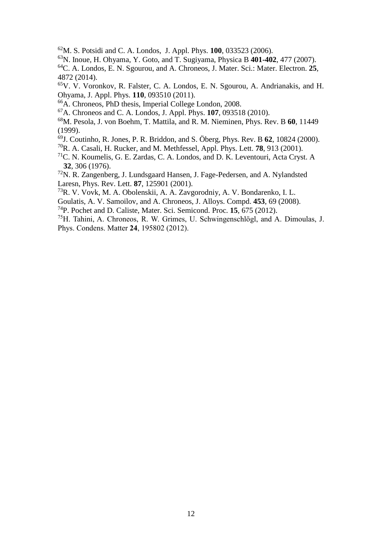M. S. Potsidi and C. A. Londos, J. Appl. Phys. **100**, 033523 (2006).

N. Inoue, H. Ohyama, Y. Goto, and T. Sugiyama, Physica B **401-402**, 477 (2007).

C. A. Londos, E. N. Sgourou, and A. Chroneos, J. Mater. Sci.: Mater. Electron. **25**, 4872 (2014).

V. V. Voronkov, R. Falster, C. A. Londos, E. N. Sgourou, A. Andrianakis, and H. Ohyama, J. Appl. Phys. **110**, 093510 (2011).

A. Chroneos, PhD thesis, Imperial College London, 2008.

A. Chroneos and C. A. Londos, J. Appl. Phys. **107**, 093518 (2010).

M. Pesola, J. von Boehm, T. Mattila, and R. M. Nieminen, Phys. Rev. B **60**, 11449 (1999).

J. Coutinho, R. Jones, P. R. Briddon, and S. Öberg, Phys. Rev. B **62**, 10824 (2000).

R. A. Casali, H. Rucker, and M. Methfessel, Appl. Phys. Lett. **78**, 913 (2001).

C. N. Koumelis, G. E. Zardas, C. A. Londos, and D. K. Leventouri, Acta Cryst. A , 306 (1976).

N. R. Zangenberg, J. Lundsgaard Hansen, J. Fage-Pedersen, and A. Nylandsted Laresn, Phys. Rev. Lett. **87**, 125901 (2001).

R. V. Vovk, M. A. Obolenskii, A. A. Zavgorodniy, A. V. Bondarenko, I. L.

Goulatis, A. V. Samoilov, and A. Chroneos, J. Alloys. Compd. **453**, 69 (2008).

P. Pochet and D. Caliste, Mater. Sci. Semicond. Proc. **15**, 675 (2012).

H. Tahini, A. Chroneos, R. W. Grimes, U. Schwingenschlögl, and A. Dimoulas, J. Phys. Condens. Matter **24**, 195802 (2012).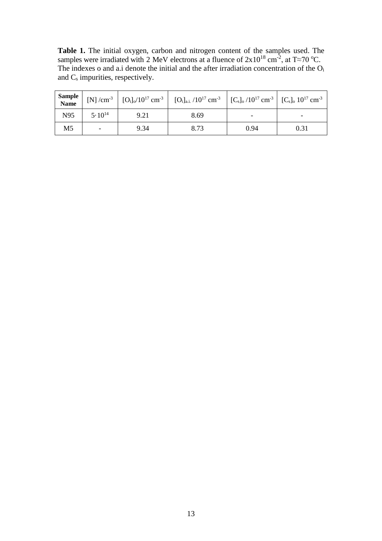**Table 1.** The initial oxygen, carbon and nitrogen content of the samples used. The samples were irradiated with 2 MeV electrons at a fluence of  $2x10^{18}$  cm<sup>-2</sup>, at T≈70 °C. The indexes o and a.i denote the initial and the after irradiation concentration of the O<sub>i</sub> and C<sub>s</sub> impurities, respectively.

| Sample<br>Name |                          |      | [N] /cm <sup>-3</sup>   $[O_i]_0/10^{17}$ cm <sup>-3</sup>   $[O_i]_{a.i.}/10^{17}$ cm <sup>-3</sup>   $[C_s]_0/10^{17}$ cm <sup>-3</sup>   $[C_s]_0 10^{17}$ cm <sup>-3</sup> |      |      |
|----------------|--------------------------|------|--------------------------------------------------------------------------------------------------------------------------------------------------------------------------------|------|------|
| N95            | $5 \cdot 10^{14}$        | 9.21 | 8.69                                                                                                                                                                           |      |      |
| M <sub>5</sub> | $\overline{\phantom{a}}$ | 9.34 | 8.73                                                                                                                                                                           | 0.94 | 0.31 |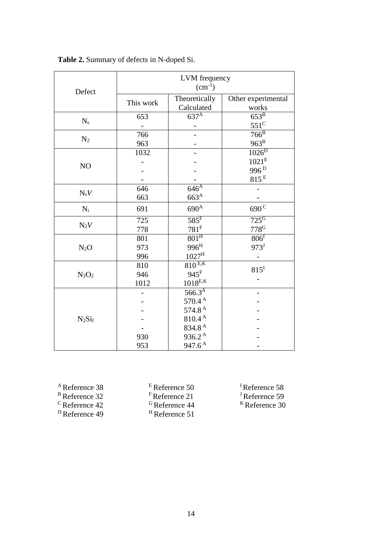|           | LVM frequency<br>$(cm^{-1})$ |                             |                             |  |
|-----------|------------------------------|-----------------------------|-----------------------------|--|
| Defect    | This work                    | Theoretically<br>Calculated | Other experimental<br>works |  |
|           | 653                          | $637^{\mathrm{A}}$          | $653^{\mathrm{B}}$          |  |
| $N_{s}$   |                              |                             | $551^{\circ}$               |  |
|           | 766                          |                             | $766^B$                     |  |
| $N_2$     | 963                          |                             | $963^B$                     |  |
|           | 1032                         |                             | $1026^D$                    |  |
|           |                              |                             | $1021^{\rm E}$              |  |
| NO        |                              |                             | 996 <sup>D</sup>            |  |
|           |                              |                             | 815 <sup>E</sup>            |  |
|           | 646                          | $646^{\overline{A}}$        |                             |  |
| $N_sV$    | 663                          | $663^A$                     |                             |  |
| $N_i$     | 691                          | $690^{\text{A}}$            | $690^{\rm C}$               |  |
|           | 725                          | $585$ <sup>F</sup>          | $725$ <sup>G</sup>          |  |
| $N_2V$    | 778                          | $781^{\rm F}$               | $778$ <sup>G</sup>          |  |
|           | 801                          | $801$ <sup>H</sup>          | $806$ <sup>I</sup>          |  |
| $N_2O$    | 973                          | 996 <sup>H</sup>            | $973^{\mathrm{J}}$          |  |
|           | 996                          | $1027^{\rm H}$              |                             |  |
|           | 810                          | $810^{E,K}$                 | $815^{\mathrm{I}}$          |  |
| $N_2O_2$  | 946                          | $945$ <sup>F</sup>          |                             |  |
|           | 1012                         | $1018^{E,K}$                |                             |  |
|           |                              | $566.3^{A}$                 |                             |  |
|           |                              | $570.4^{\text{A}}$          |                             |  |
|           |                              | 574.8 $^{A}$                |                             |  |
| $N_2Si_I$ |                              | $810.4$ $^{\rm A}$          |                             |  |
|           |                              | 834.8 <sup>A</sup>          |                             |  |
|           | 930                          | $936.2^{\text{A}}$          |                             |  |
|           | 953                          | $947.6^{\,A}$               |                             |  |

# **Table 2.** Summary of defects in N-doped Si.

|   | <sup>A</sup> Reference 38 |  |
|---|---------------------------|--|
| D |                           |  |

<sup>B</sup> Reference 32

<sup>C</sup>Reference 42

<sup>D</sup>Reference 49

<sup>E</sup>Reference 50 FReference 21 <sup>G</sup>Reference 44 <sup>H</sup>Reference 51 <sup>I</sup>Reference 58 J Reference 59 <sup>K</sup>Reference 30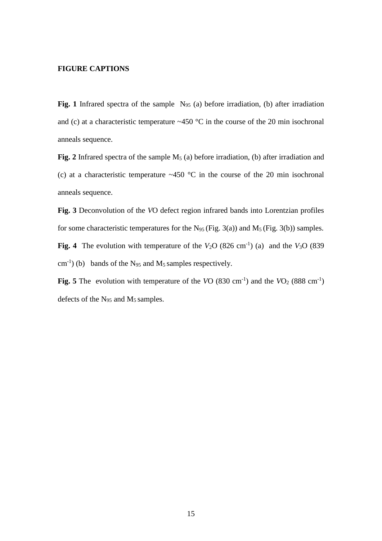#### **FIGURE CAPTIONS**

Fig. 1 Infrared spectra of the sample N<sub>95</sub> (a) before irradiation, (b) after irradiation and (c) at a characteristic temperature  $~450$  °C in the course of the 20 min isochronal anneals sequence.

Fig. 2 Infrared spectra of the sample M<sub>5</sub> (a) before irradiation, (b) after irradiation and (c) at a characteristic temperature  $\sim$  450 °C in the course of the 20 min isochronal anneals sequence.

**Fig. 3** Deconvolution of the *V*O defect region infrared bands into Lorentzian profiles for some characteristic temperatures for the  $N_{95}$  (Fig. 3(a)) and  $M_5$  (Fig. 3(b)) samples. **Fig. 4** The evolution with temperature of the  $V_2O$  (826 cm<sup>-1</sup>) (a) and the  $V_3O$  (839  $\text{cm}^{-1}$ ) (b) bands of the N<sub>95</sub> and M<sub>5</sub> samples respectively.

**Fig.** 5 The evolution with temperature of the  $VO$  (830 cm<sup>-1</sup>) and the  $VO_2$  (888 cm<sup>-1</sup>) defects of the N<sup>95</sup> and M<sup>5</sup> samples.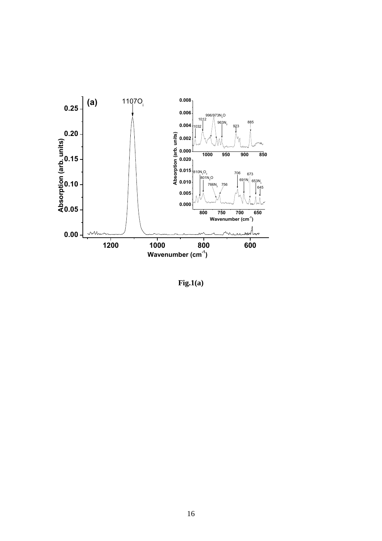

**Fig.1(a)**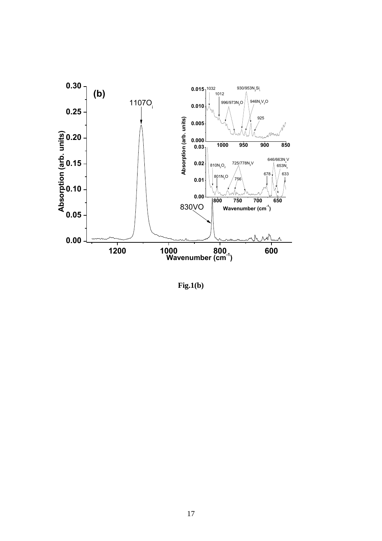

**Fig.1(b)**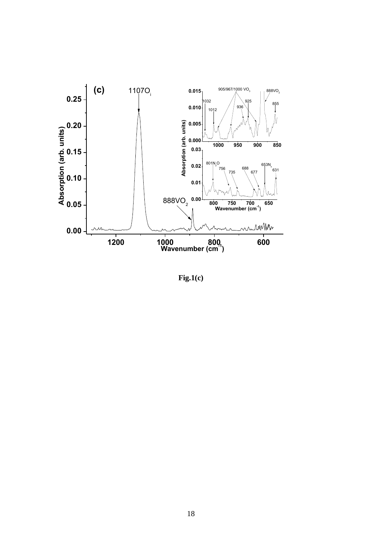

**Fig.1(c)**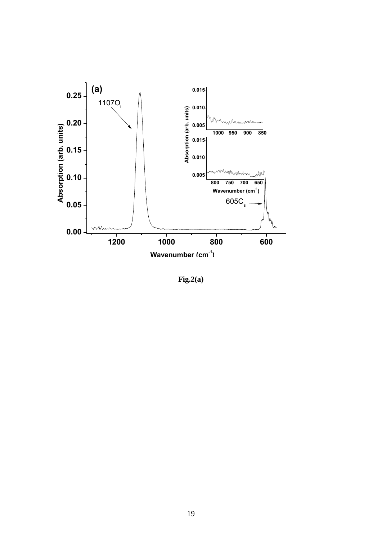

**Fig.2(a)**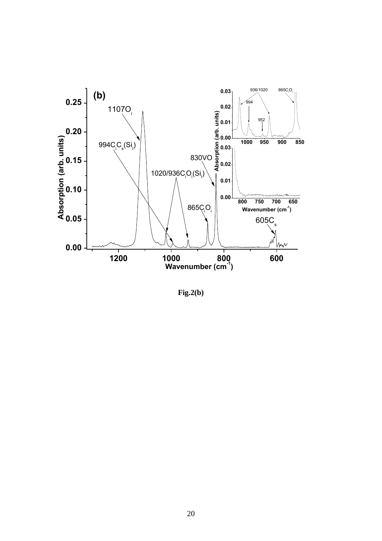

**Fig.2(b)**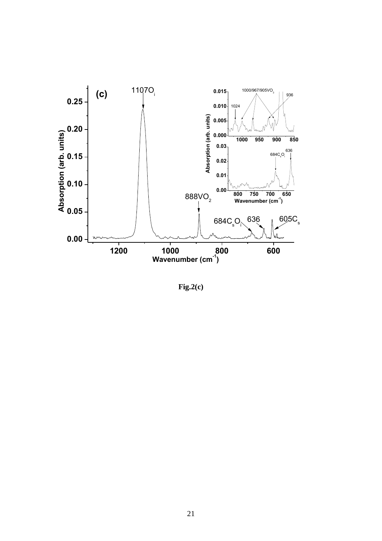

**Fig.2(c)**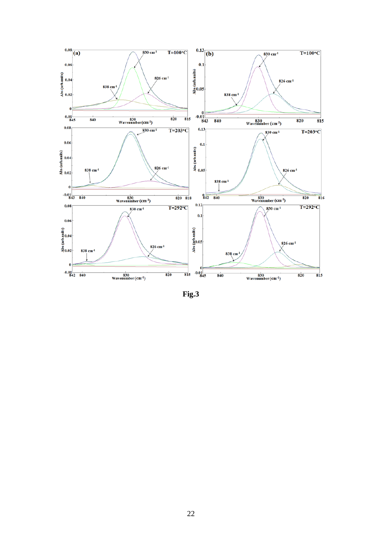

**Fig.3**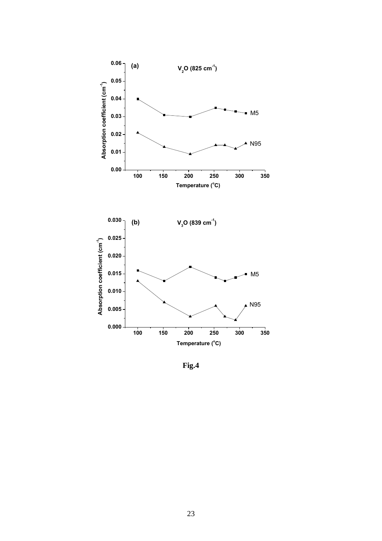



**Fig.4**